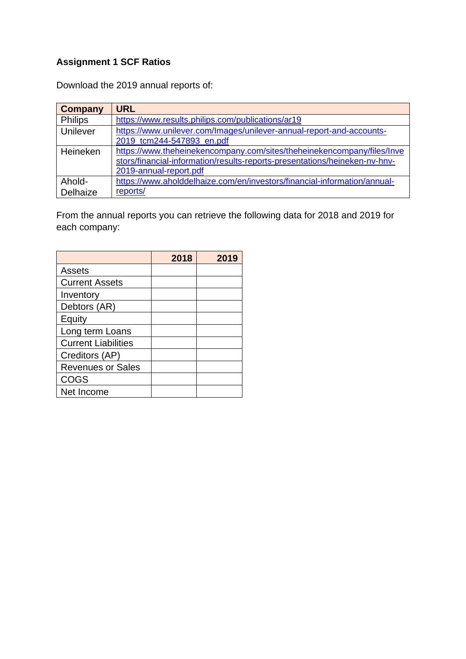## **Assignment 1 SCF Ratios**

Download the 2019 annual reports of:

| <b>Company</b> | <b>URL</b>                                                                 |
|----------------|----------------------------------------------------------------------------|
| <b>Philips</b> | https://www.results.philips.com/publications/ar19                          |
| Unilever       | https://www.unilever.com/Images/unilever-annual-report-and-accounts-       |
|                | 2019 tcm244-547893 en.pdf                                                  |
| Heineken       | https://www.theheinekencompany.com/sites/theheinekencompany/files/Inve     |
|                | stors/financial-information/results-reports-presentations/heineken-nv-hnv- |
|                | 2019-annual-report.pdf                                                     |
| Ahold-         | https://www.aholddelhaize.com/en/investors/financial-information/annual-   |
| Delhaize       | reports/                                                                   |

From the annual reports you can retrieve the following data for 2018 and 2019 for each company:

|                            | 2018 | 2019 |
|----------------------------|------|------|
| Assets                     |      |      |
| <b>Current Assets</b>      |      |      |
| Inventory                  |      |      |
| Debtors (AR)               |      |      |
| Equity                     |      |      |
| Long term Loans            |      |      |
| <b>Current Liabilities</b> |      |      |
| Creditors (AP)             |      |      |
| <b>Revenues or Sales</b>   |      |      |
| <b>COGS</b>                |      |      |
| Net Income                 |      |      |